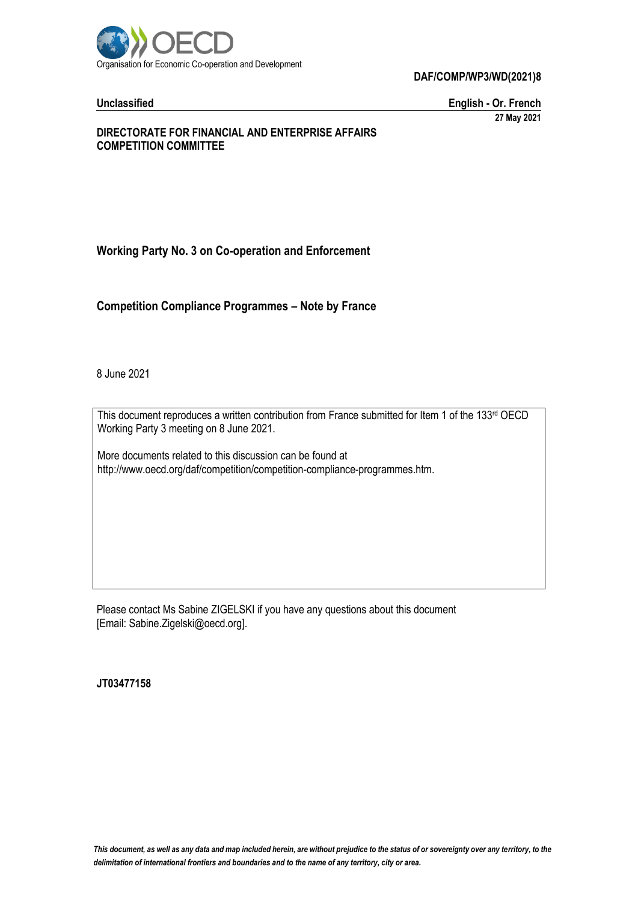

#### **DAF/COMP/WP3/WD(2021)8**

**Unclassified English - Or. French 27 May 2021**

#### **DIRECTORATE FOR FINANCIAL AND ENTERPRISE AFFAIRS COMPETITION COMMITTEE**

# **Working Party No. 3 on Co-operation and Enforcement**

**Competition Compliance Programmes – Note by France**

8 June 2021

This document reproduces a written contribution from France submitted for Item 1 of the 133rd OECD Working Party 3 meeting on 8 June 2021.

More documents related to this discussion can be found at http://www.oecd.org/daf/competition/competition-compliance-programmes.htm.

Please contact Ms Sabine ZIGELSKI if you have any questions about this document [Email: Sabine.Zigelski@oecd.org].

**JT03477158**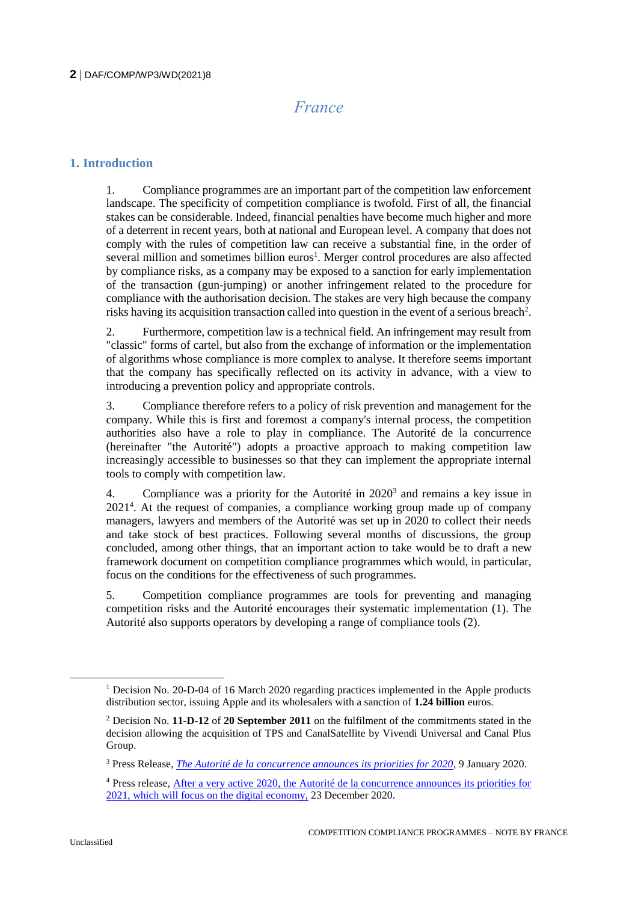# *France*

# **1. Introduction**

1. Compliance programmes are an important part of the competition law enforcement landscape. The specificity of competition compliance is twofold. First of all, the financial stakes can be considerable. Indeed, financial penalties have become much higher and more of a deterrent in recent years, both at national and European level. A company that does not comply with the rules of competition law can receive a substantial fine, in the order of several million and sometimes billion euros<sup>1</sup>. Merger control procedures are also affected by compliance risks, as a company may be exposed to a sanction for early implementation of the transaction (gun-jumping) or another infringement related to the procedure for compliance with the authorisation decision. The stakes are very high because the company risks having its acquisition transaction called into question in the event of a serious breach<sup>2</sup>.

2. Furthermore, competition law is a technical field. An infringement may result from "classic" forms of cartel, but also from the exchange of information or the implementation of algorithms whose compliance is more complex to analyse. It therefore seems important that the company has specifically reflected on its activity in advance, with a view to introducing a prevention policy and appropriate controls.

3. Compliance therefore refers to a policy of risk prevention and management for the company. While this is first and foremost a company's internal process, the competition authorities also have a role to play in compliance. The Autorité de la concurrence (hereinafter "the Autorité") adopts a proactive approach to making competition law increasingly accessible to businesses so that they can implement the appropriate internal tools to comply with competition law.

4. Compliance was a priority for the Autorité in 2020<sup>3</sup> and remains a key issue in 2021<sup>4</sup> . At the request of companies, a compliance working group made up of company managers, lawyers and members of the Autorité was set up in 2020 to collect their needs and take stock of best practices. Following several months of discussions, the group concluded, among other things, that an important action to take would be to draft a new framework document on competition compliance programmes which would, in particular, focus on the conditions for the effectiveness of such programmes.

5. Competition compliance programmes are tools for preventing and managing competition risks and the Autorité encourages their systematic implementation (1). The Autorité also supports operators by developing a range of compliance tools (2).

<sup>&</sup>lt;sup>1</sup> Decision No. 20-D-04 of 16 March 2020 regarding practices implemented in the Apple products distribution sector, issuing Apple and its wholesalers with a sanction of **1.24 billion** euros.

<sup>2</sup> Decision No. **11-D-12** of **20 September 2011** on the fulfilment of the commitments stated in the decision allowing the acquisition of TPS and CanalSatellite by Vivendi Universal and Canal Plus Group.

<sup>3</sup> Press Release, *[The Autorité de la concurrence announces its priorities for 2020](https://www.autoritedelaconcurrence.fr/en/press-release/autorite-de-la-concurrence-announces-its-priorities-2020)*, 9 January 2020.

<sup>4</sup> Press release, [After a very active 2020, the Autorité de la concurrence announces its priorities for](https://www.autoritedelaconcurrence.fr/en/press-release/after-very-active-2020-autorite-de-la-concurrence-announces-its-priorities-2021-which)  [2021, which will focus on the digital economy,](https://www.autoritedelaconcurrence.fr/en/press-release/after-very-active-2020-autorite-de-la-concurrence-announces-its-priorities-2021-which) 23 December 2020.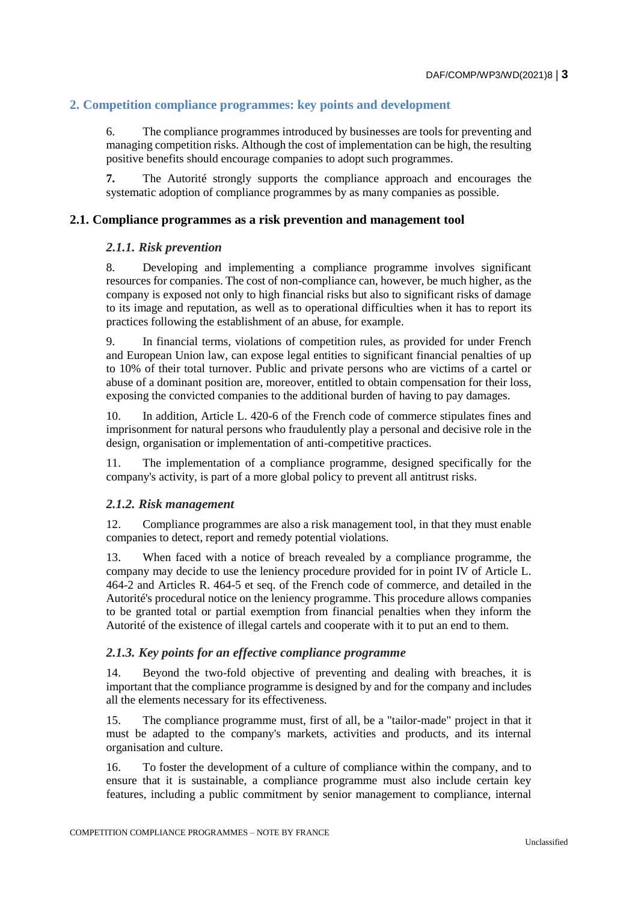# **2. Competition compliance programmes: key points and development**

6. The compliance programmes introduced by businesses are tools for preventing and managing competition risks. Although the cost of implementation can be high, the resulting positive benefits should encourage companies to adopt such programmes.

**7.** The Autorité strongly supports the compliance approach and encourages the systematic adoption of compliance programmes by as many companies as possible.

#### **2.1. Compliance programmes as a risk prevention and management tool**

#### *2.1.1. Risk prevention*

8. Developing and implementing a compliance programme involves significant resources for companies. The cost of non-compliance can, however, be much higher, as the company is exposed not only to high financial risks but also to significant risks of damage to its image and reputation, as well as to operational difficulties when it has to report its practices following the establishment of an abuse, for example.

9. In financial terms, violations of competition rules, as provided for under French and European Union law, can expose legal entities to significant financial penalties of up to 10% of their total turnover. Public and private persons who are victims of a cartel or abuse of a dominant position are, moreover, entitled to obtain compensation for their loss, exposing the convicted companies to the additional burden of having to pay damages.

10. In addition, Article L. 420-6 of the French code of commerce stipulates fines and imprisonment for natural persons who fraudulently play a personal and decisive role in the design, organisation or implementation of anti-competitive practices.

11. The implementation of a compliance programme, designed specifically for the company's activity, is part of a more global policy to prevent all antitrust risks.

#### *2.1.2. Risk management*

12. Compliance programmes are also a risk management tool, in that they must enable companies to detect, report and remedy potential violations.

13. When faced with a notice of breach revealed by a compliance programme, the company may decide to use the leniency procedure provided for in point IV of Article L. 464-2 and Articles R. 464-5 et seq. of the French code of commerce, and detailed in the Autorité's procedural notice on the leniency programme. This procedure allows companies to be granted total or partial exemption from financial penalties when they inform the Autorité of the existence of illegal cartels and cooperate with it to put an end to them.

#### *2.1.3. Key points for an effective compliance programme*

14. Beyond the two-fold objective of preventing and dealing with breaches, it is important that the compliance programme is designed by and for the company and includes all the elements necessary for its effectiveness.

15. The compliance programme must, first of all, be a "tailor-made" project in that it must be adapted to the company's markets, activities and products, and its internal organisation and culture.

16. To foster the development of a culture of compliance within the company, and to ensure that it is sustainable, a compliance programme must also include certain key features, including a public commitment by senior management to compliance, internal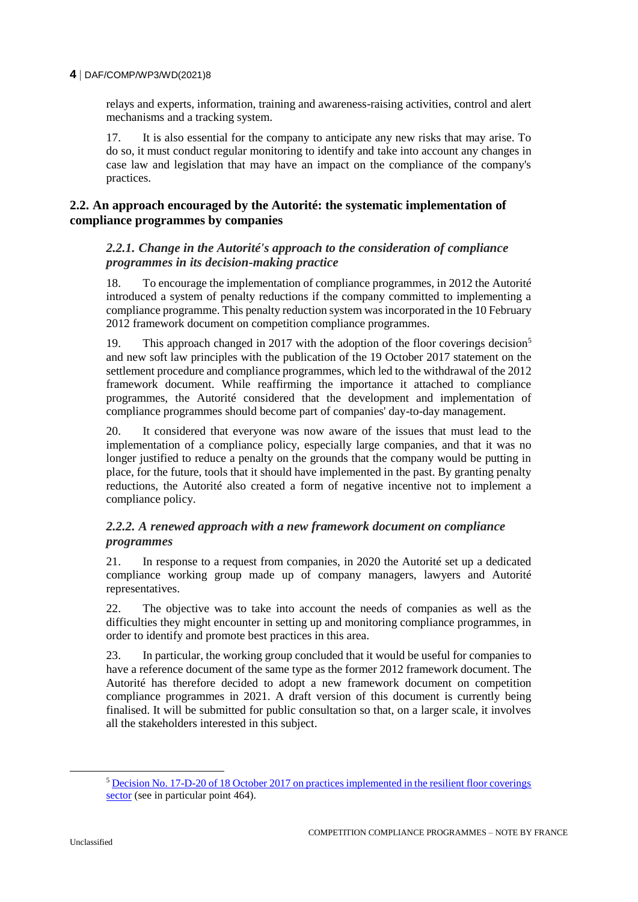#### **4** DAF/COMP/WP3/WD(2021)8

relays and experts, information, training and awareness-raising activities, control and alert mechanisms and a tracking system.

17. It is also essential for the company to anticipate any new risks that may arise. To do so, it must conduct regular monitoring to identify and take into account any changes in case law and legislation that may have an impact on the compliance of the company's practices.

# **2.2. An approach encouraged by the Autorité: the systematic implementation of compliance programmes by companies**

# *2.2.1. Change in the Autorité's approach to the consideration of compliance programmes in its decision-making practice*

18. To encourage the implementation of compliance programmes, in 2012 the Autorité introduced a system of penalty reductions if the company committed to implementing a compliance programme. This penalty reduction system was incorporated in the 10 February 2012 framework document on competition compliance programmes.

19. This approach changed in 2017 with the adoption of the floor coverings decision<sup>5</sup> and new soft law principles with the publication of the 19 October 2017 statement on the settlement procedure and compliance programmes, which led to the withdrawal of the 2012 framework document. While reaffirming the importance it attached to compliance programmes, the Autorité considered that the development and implementation of compliance programmes should become part of companies' day-to-day management.

20. It considered that everyone was now aware of the issues that must lead to the implementation of a compliance policy, especially large companies, and that it was no longer justified to reduce a penalty on the grounds that the company would be putting in place, for the future, tools that it should have implemented in the past. By granting penalty reductions, the Autorité also created a form of negative incentive not to implement a compliance policy.

# *2.2.2. A renewed approach with a new framework document on compliance programmes*

21. In response to a request from companies, in 2020 the Autorité set up a dedicated compliance working group made up of company managers, lawyers and Autorité representatives.

22. The objective was to take into account the needs of companies as well as the difficulties they might encounter in setting up and monitoring compliance programmes, in order to identify and promote best practices in this area.

23. In particular, the working group concluded that it would be useful for companies to have a reference document of the same type as the former 2012 framework document. The Autorité has therefore decided to adopt a new framework document on competition compliance programmes in 2021. A draft version of this document is currently being finalised. It will be submitted for public consultation so that, on a larger scale, it involves all the stakeholders interested in this subject.

<sup>5</sup> [Decision No. 17-D-20 of 18 October 2017 on practices implemented in the resilient floor coverings](https://www.autoritedelaconcurrence.fr/sites/default/files/commitments/17d20.pdf)  [sector](https://www.autoritedelaconcurrence.fr/sites/default/files/commitments/17d20.pdf) (see in particular point 464).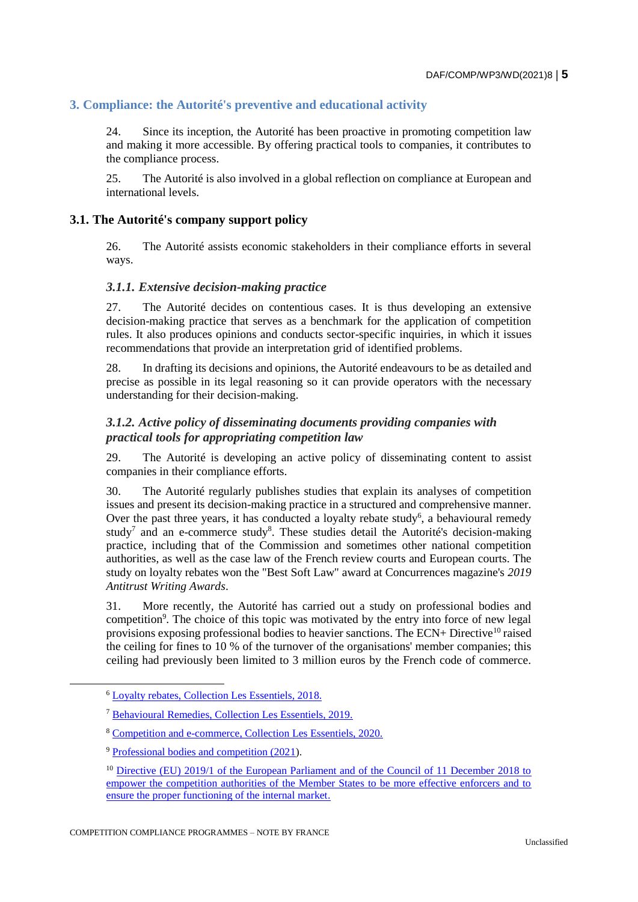# **3. Compliance: the Autorité's preventive and educational activity**

24. Since its inception, the Autorité has been proactive in promoting competition law and making it more accessible. By offering practical tools to companies, it contributes to the compliance process.

25. The Autorité is also involved in a global reflection on compliance at European and international levels.

#### **3.1. The Autorité's company support policy**

26. The Autorité assists economic stakeholders in their compliance efforts in several ways.

#### *3.1.1. Extensive decision-making practice*

27. The Autorité decides on contentious cases. It is thus developing an extensive decision-making practice that serves as a benchmark for the application of competition rules. It also produces opinions and conducts sector-specific inquiries, in which it issues recommendations that provide an interpretation grid of identified problems.

28. In drafting its decisions and opinions, the Autorité endeavours to be as detailed and precise as possible in its legal reasoning so it can provide operators with the necessary understanding for their decision-making.

# *3.1.2. Active policy of disseminating documents providing companies with practical tools for appropriating competition law*

29. The Autorité is developing an active policy of disseminating content to assist companies in their compliance efforts.

30. The Autorité regularly publishes studies that explain its analyses of competition issues and present its decision-making practice in a structured and comprehensive manner. Over the past three years, it has conducted a loyalty rebate study<sup>6</sup>, a behavioural remedy study<sup>7</sup> and an e-commerce study<sup>8</sup>. These studies detail the Autorité's decision-making practice, including that of the Commission and sometimes other national competition authorities, as well as the case law of the French review courts and European courts. The study on loyalty rebates won the "Best Soft Law" award at Concurrences magazine's *2019 Antitrust Writing Awards*.

31. More recently, the Autorité has carried out a study on professional bodies and competition<sup>9</sup>. The choice of this topic was motivated by the entry into force of new legal provisions exposing professional bodies to heavier sanctions. The ECN+ Directive<sup>10</sup> raised the ceiling for fines to 10 % of the turnover of the organisations' member companies; this ceiling had previously been limited to 3 million euros by the French code of commerce.

<sup>6</sup> [Loyalty rebates, Collection Les Essentiels, 2018.](https://www.autoritedelaconcurrence.fr/sites/default/files/2019-12/pdf_final.pdf)

<sup>7</sup> [Behavioural Remedies, Collection Les Essentiels, 2019.](https://www.autoritedelaconcurrence.fr/sites/default/files/2020-01/eng_comportementaux_final_fr_0.pdf)

<sup>8</sup> [Competition and e-commerce, Collection Les Essentiels, 2020.](https://www.autoritedelaconcurrence.fr/sites/default/files/9782111572874_Commerce-en-ligne_final.pdf)

<sup>9</sup> [Professional bodies and competition \(2021\)](https://www.autoritedelaconcurrence.fr/sites/default/files/EtudeThematique-OrganismesProfessionnels_final.pdf).

<sup>&</sup>lt;sup>10</sup> Directive (EU) 2019/1 of the European Parliament and of the Council of 11 December 2018 to [empower the competition authorities of the Member States to be more effective enforcers and to](https://eur-lex.europa.eu/legal-content/EN/TXT/PDF/?uri=CELEX:32019L0001&from=EN)  [ensure the proper functioning of the internal market.](https://eur-lex.europa.eu/legal-content/EN/TXT/PDF/?uri=CELEX:32019L0001&from=EN)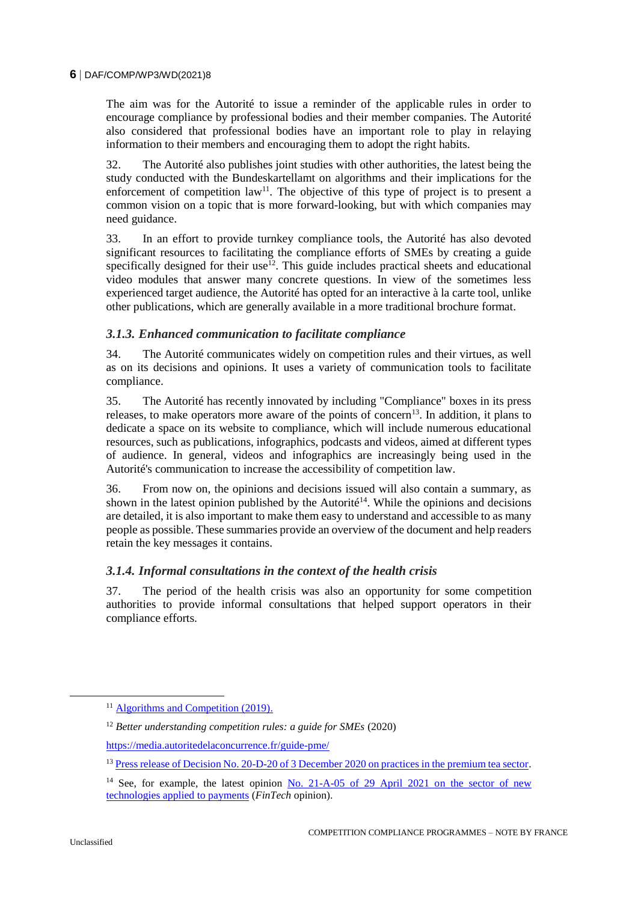#### **6** DAF/COMP/WP3/WD(2021)8

The aim was for the Autorité to issue a reminder of the applicable rules in order to encourage compliance by professional bodies and their member companies. The Autorité also considered that professional bodies have an important role to play in relaying information to their members and encouraging them to adopt the right habits.

32. The Autorité also publishes joint studies with other authorities, the latest being the study conducted with the Bundeskartellamt on algorithms and their implications for the enforcement of competition  $law<sup>11</sup>$ . The objective of this type of project is to present a common vision on a topic that is more forward-looking, but with which companies may need guidance.

33. In an effort to provide turnkey compliance tools, the Autorité has also devoted significant resources to facilitating the compliance efforts of SMEs by creating a guide specifically designed for their use<sup>12</sup>. This guide includes practical sheets and educational video modules that answer many concrete questions. In view of the sometimes less experienced target audience, the Autorité has opted for an interactive à la carte tool, unlike other publications, which are generally available in a more traditional brochure format.

# *3.1.3. Enhanced communication to facilitate compliance*

34. The Autorité communicates widely on competition rules and their virtues, as well as on its decisions and opinions. It uses a variety of communication tools to facilitate compliance.

35. The Autorité has recently innovated by including "Compliance" boxes in its press releases, to make operators more aware of the points of concern<sup>13</sup>. In addition, it plans to dedicate a space on its website to compliance, which will include numerous educational resources, such as publications, infographics, podcasts and videos, aimed at different types of audience. In general, videos and infographics are increasingly being used in the Autorité's communication to increase the accessibility of competition law.

36. From now on, the opinions and decisions issued will also contain a summary, as shown in the latest opinion published by the Autorité<sup>14</sup>. While the opinions and decisions are detailed, it is also important to make them easy to understand and accessible to as many people as possible. These summaries provide an overview of the document and help readers retain the key messages it contains.

# *3.1.4. Informal consultations in the context of the health crisis*

37. The period of the health crisis was also an opportunity for some competition authorities to provide informal consultations that helped support operators in their compliance efforts.

 $\overline{a}$ 

<sup>&</sup>lt;sup>11</sup> [Algorithms and Competition \(2019\).](https://www.autoritedelaconcurrence.fr/sites/default/files/Algorithms-and-competition_FR.pdf)

<sup>12</sup> *Better understanding competition rules: a guide for SMEs* (2020)

<https://media.autoritedelaconcurrence.fr/guide-pme/>

<sup>&</sup>lt;sup>13</sup> [Press release of Decision No. 20-D-20 of 3 December 2020 on practices in the premium tea sector.](https://www.autoritedelaconcurrence.fr/en/press-release/autorite-de-la-concurrence-hands-out-fine-dammann-freres-tea-imposing-sales-prices)

<sup>&</sup>lt;sup>14</sup> See, for example, the latest opinion No. 21-A-05 of 29 April 2021 on the sector of new [technologies applied to payments](https://www.autoritedelaconcurrence.fr/sites/default/files/integral_texts/2021-04/21a05_0.pdf) (*FinTech* opinion).